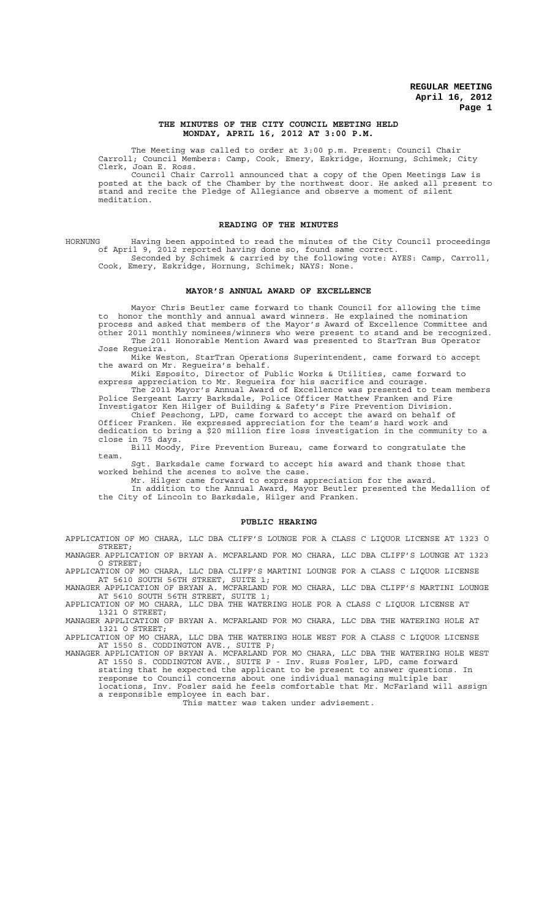### **THE MINUTES OF THE CITY COUNCIL MEETING HELD MONDAY, APRIL 16, 2012 AT 3:00 P.M.**

The Meeting was called to order at 3:00 p.m. Present: Council Chair Carroll; Council Members: Camp, Cook, Emery, Eskridge, Hornung, Schimek; City Clerk, Joan E. Ross.

Council Chair Carroll announced that a copy of the Open Meetings Law is posted at the back of the Chamber by the northwest door. He asked all present to stand and recite the Pledge of Allegiance and observe a moment of silent meditation.

### **READING OF THE MINUTES**

HORNUNG Having been appointed to read the minutes of the City Council proceedings of April 9, 2012 reported having done so, found same correct. Seconded by Schimek & carried by the following vote: AYES: Camp, Carroll, Cook, Emery, Eskridge, Hornung, Schimek; NAYS: None.

#### **MAYOR'S ANNUAL AWARD OF EXCELLENCE**

Mayor Chris Beutler came forward to thank Council for allowing the time to honor the monthly and annual award winners. He explained the nomination process and asked that members of the Mayor's Award of Excellence Committee and other 2011 monthly nominees/winners who were present to stand and be recognized.

The 2011 Honorable Mention Award was presented to StarTran Bus Operator Jose Regueira.

Mike Weston, StarTran Operations Superintendent, came forward to accept the award on Mr. Regueira's behalf.

Miki Esposito, Director of Public Works & Utilities, came forward to express appreciation to Mr. Regueira for his sacrifice and courage.

The 2011 Mayor's Annual Award of Excellence was presented to team members Police Sergeant Larry Barksdale, Police Officer Matthew Franken and Fire Investigator Ken Hilger of Building & Safety's Fire Prevention Division.

Chief Peschong, LPD, came forward to accept the award on behalf of Officer Franken. He expressed appreciation for the team's hard work and

dedication to bring a \$20 million fire loss investigation in the community to a close in 75 days.

Bill Moody, Fire Prevention Bureau, came forward to congratulate the team.

Sgt. Barksdale came forward to accept his award and thank those that worked behind the scenes to solve the case.

Mr. Hilger came forward to express appreciation for the award.

In addition to the Annual Award, Mayor Beutler presented the Medallion of the City of Lincoln to Barksdale, Hilger and Franken.

#### **PUBLIC HEARING**

APPLICATION OF MO CHARA, LLC DBA CLIFF'S LOUNGE FOR A CLASS C LIQUOR LICENSE AT 1323 O STREET; MANAGER APPLICATION OF BRYAN A. MCFARLAND FOR MO CHARA, LLC DBA CLIFF'S LOUNGE AT 1323

O STREET; APPLICATION OF MO CHARA, LLC DBA CLIFF'S MARTINI LOUNGE FOR A CLASS C LIQUOR LICENSE AT 5610 SOUTH 56TH STREET, SUITE 1;

MANAGER APPLICATION OF BRYAN A. MCFARLAND FOR MO CHARA, LLC DBA CLIFF'S MARTINI LOUNGE AT 5610 SOUTH 56TH STREET, SUITE 1;

APPLICATION OF MO CHARA, LLC DBA THE WATERING HOLE FOR A CLASS C LIQUOR LICENSE AT 1321 O STREET;

MANAGER APPLICATION OF BRYAN A. MCFARLAND FOR MO CHARA, LLC DBA THE WATERING HOLE AT 1321 O STREET;

APPLICATION OF MO CHARA, LLC DBA THE WATERING HOLE WEST FOR A CLASS C LIQUOR LICENSE AT 1550 S. CODDINGTON AVE., SUITE P;

MANAGER APPLICATION OF BRYAN A. MCFARLAND FOR MO CHARA, LLC DBA THE WATERING HOLE WEST AT 1550 S. CODDINGTON AVE., SUITE P - Inv. Russ Fosler, LPD, came forward stating that he expected the applicant to be present to answer questions. In

response to Council concerns about one individual managing multiple bar locations, Inv. Fosler said he feels comfortable that Mr. McFarland will assign

a responsible employee in each bar.

This matter was taken under advisement.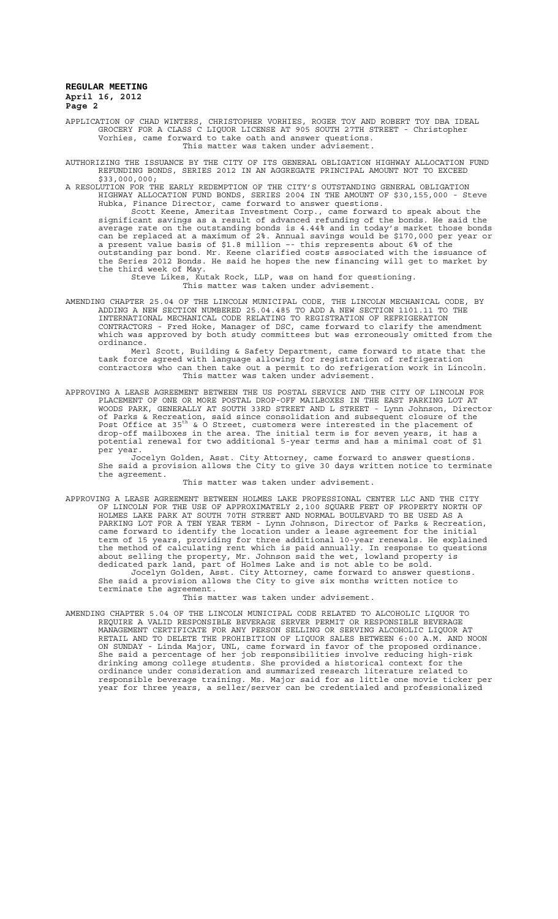APPLICATION OF CHAD WINTERS, CHRISTOPHER VORHIES, ROGER TOY AND ROBERT TOY DBA IDEAL GROCERY FOR A CLASS C LIQUOR LICENSE AT 905 SOUTH 27TH STREET - Christopher Vorhies, came forward to take oath and answer questions. This matter was taken under advisement.

AUTHORIZING THE ISSUANCE BY THE CITY OF ITS GENERAL OBLIGATION HIGHWAY ALLOCATION FUND REFUNDING BONDS, SERIES 2012 IN AN AGGREGATE PRINCIPAL AMOUNT NOT TO EXCEED \$33,000,000;

A RESOLUTION FOR THE EARLY REDEMPTION OF THE CITY'S OUTSTANDING GENERAL OBLIGATION HIGHWAY ALLOCATION FUND BONDS, SERIES 2004 IN THE AMOUNT OF \$30,155,000 - Steve Hubka, Finance Director, came forward to answer questions.

Scott Keene, Ameritas Investment Corp., came forward to speak about the significant savings as a result of advanced refunding of the bonds. He said the average rate on the outstanding bonds is 4.44% and in today's market those bonds can be replaced at a maximum of 2%. Annual savings would be \$170,000 per year or a present value basis of \$1.8 million –- this represents about 6% of the outstanding par bond. Mr. Keene clarified costs associated with the issuance of the Series 2012 Bonds. He said he hopes the new financing will get to market by the third week of May.

Steve Likes, Kutak Rock, LLP, was on hand for questioning. This matter was taken under advisement.

AMENDING CHAPTER 25.04 OF THE LINCOLN MUNICIPAL CODE, THE LINCOLN MECHANICAL CODE, BY ADDING A NEW SECTION NUMBERED 25.04.485 TO ADD A NEW SECTION 1101.11 TO THE INTERNATIONAL MECHANICAL CODE RELATING TO REGISTRATION OF REFRIGERATION CONTRACTORS - Fred Hoke, Manager of DSC, came forward to clarify the amendment which was approved by both study committees but was erroneously omitted from the ordinance.

Merl Scott, Building & Safety Department, came forward to state that the task force agreed with language allowing for registration of refrigeration contractors who can then take out a permit to do refrigeration work in Lincoln. This matter was taken under advisement.

APPROVING A LEASE AGREEMENT BETWEEN THE US POSTAL SERVICE AND THE CITY OF LINCOLN FOR PLACEMENT OF ONE OR MORE POSTAL DROP-OFF MAILBOXES IN THE EAST PARKING LOT AT WOODS PARK, GENERALLY AT SOUTH 33RD STREET AND L STREET - Lynn Johnson, Director of Parks & Recreation, said since consolidation and subsequent closure of the<br>Post Office at 35<sup>th</sup> & O Street, customers were interested in the placement of drop-off mailboxes in the area. The initial term is for seven years, it has a potential renewal for two additional 5-year terms and has a minimal cost of \$1 per year.

Jocelyn Golden, Asst. City Attorney, came forward to answer questions. She said a provision allows the City to give 30 days written notice to terminate the agreement.

#### This matter was taken under advisement.

APPROVING A LEASE AGREEMENT BETWEEN HOLMES LAKE PROFESSIONAL CENTER LLC AND THE CITY OF LINCOLN FOR THE USE OF APPROXIMATELY 2,100 SQUARE FEET OF PROPERTY NORTH OF HOLMES LAKE PARK AT SOUTH 70TH STREET AND NORMAL BOULEVARD TO BE USED AS A PARKING LOT FOR A TEN YEAR TERM - Lynn Johnson, Director of Parks & Recreation, came forward to identify the location under a lease agreement for the initial term of 15 years, providing for three additional 10-year renewals. He explained the method of calculating rent which is paid annually. In response to questions about selling the property, Mr. Johnson said the wet, lowland property is dedicated park land, part of Holmes Lake and is not able to be sold. Jocelyn Golden, Asst. City Attorney, came forward to answer questions. She said a provision allows the City to give six months written notice to terminate the agreement.

## This matter was taken under advisement.

AMENDING CHAPTER 5.04 OF THE LINCOLN MUNICIPAL CODE RELATED TO ALCOHOLIC LIQUOR TO REQUIRE A VALID RESPONSIBLE BEVERAGE SERVER PERMIT OR RESPONSIBLE BEVERAGE MANAGEMENT CERTIFICATE FOR ANY PERSON SELLING OR SERVING ALCOHOLIC LIQUOR AT RETAIL AND TO DELETE THE PROHIBITION OF LIQUOR SALES BETWEEN 6:00 A.M. AND NOON ON SUNDAY - Linda Major, UNL, came forward in favor of the proposed ordinance. She said a percentage of her job responsibilities involve reducing high-risk drinking among college students. She provided a historical context for the ordinance under consideration and summarized research literature related to responsible beverage training. Ms. Major said for as little one movie ticker per year for three years, a seller/server can be credentialed and professionalized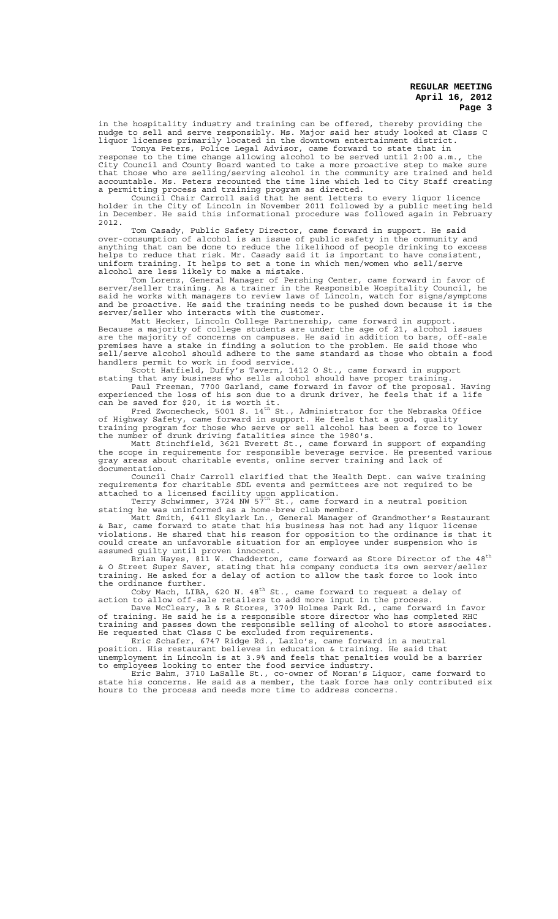in the hospitality industry and training can be offered, thereby providing the nudge to sell and serve responsibly. Ms. Major said her study looked at Class C liquor licenses primarily located in the downtown entertainment district.

Tonya Peters, Police Legal Advisor, came forward to state that in response to the time change allowing alcohol to be served until 2:00 a.m., the City Council and County Board wanted to take a more proactive step to make sure that those who are selling/serving alcohol in the community are trained and held accountable. Ms. Peters recounted the time line which led to City Staff creating a permitting process and training program as directed.

Council Chair Carroll said that he sent letters to every liquor licence holder in the City of Lincoln in November 2011 followed by a public meeting held in December. He said this informational procedure was followed again in February 2012.

Tom Casady, Public Safety Director, came forward in support. He said over-consumption of alcohol is an issue of public safety in the community and anything that can be done to reduce the likelihood of people drinking to excess helps to reduce that risk. Mr. Casady said it is important to have consistent, uniform training. It helps to set a tone in which men/women who sell/serve alcohol are less likely to make a mistake.

Tom Lorenz, General Manager of Pershing Center, came forward in favor of server/seller training. As a trainer in the Responsible Hospitality Council, he said he works with managers to review laws of Lincoln, watch for signs/symptoms and be proactive. He said the training needs to be pushed down because it is the server/seller who interacts with the customer.

Matt Hecker, Lincoln College Partnership, came forward in support. Because a majority of college students are under the age of 21, alcohol issues are the majority of concerns on campuses. He said in addition to bars, off-sale premises have a stake in finding a solution to the problem. He said those who sell/serve alcohol should adhere to the same standard as those who obtain a food handlers permit to work in food service.

Scott Hatfield, Duffy's Tavern, 1412 O St., came forward in support stating that any business who sells alcohol should have proper training. Paul Freeman, 7700 Garland, came forward in favor of the proposal. Having

experienced the loss of his son due to a drunk driver, he feels that if a life can be saved for \$20, it is worth it.<br>Fred Zwonecheck, 5001 S. 14<sup>th</sup> St., Administrator for the Nebraska Office

of Highway Safety, came forward in support. He feels that a good, quality training program for those who serve or sell alcohol has been a force to lower the number of drunk driving fatalities since the 1980's.

Matt Stinchfield, 3621 Everett St., came forward in support of expanding the scope in requirements for responsible beverage service. He presented various gray areas about charitable events, online server training and lack of documentation.

Council Chair Carroll clarified that the Health Dept. can waive training requirements for charitable SDL events and permittees are not required to be attached to a licensed facility upon application.<br>Terry Schwimmer, 3724 NW 57<sup>th</sup> St., came forward in a neutral position

stating he was uninformed as a home-brew club member.

Matt Smith, 6411 Skylark Ln., General Manager of Grandmother's Restaurant & Bar, came forward to state that his business has not had any liquor license violations. He shared that his reason for opposition to the ordinance is that it could create an unfavorable situation for an employee under suspension who is assumed guilty until proven innocent.

Brian Hayes, 811 W. Chadderton, came forward as Store Director of the 48 $^{\rm th}$ & O Street Super Saver, stating that his company conducts its own server/seller training. He asked for a delay of action to allow the task force to look into the ordinance further.

Coby Mach, LIBA, 620 N. 48 $^{\text{th}}$  St., came forward to request a delay of action to allow off-sale retailers to add more input in the process.

Dave McCleary, B & R Stores, 3709 Holmes Park Rd., came forward in favor of training. He said he is a responsible store director who has completed RHC training and passes down the responsible selling of alcohol to store associates. He requested that Class C be excluded from requirements.

Eric Schafer, 6747 Ridge Rd., Lazlo's, came forward in a neutral position. His restaurant believes in education & training. He said that unemployment in Lincoln is at 3.9% and feels that penalties would be a barrier

to employees looking to enter the food service industry. Eric Bahm, 3710 LaSalle St., co-owner of Moran's Liquor, came forward to state his concerns. He said as a member, the task force has only contributed six hours to the process and needs more time to address concerns.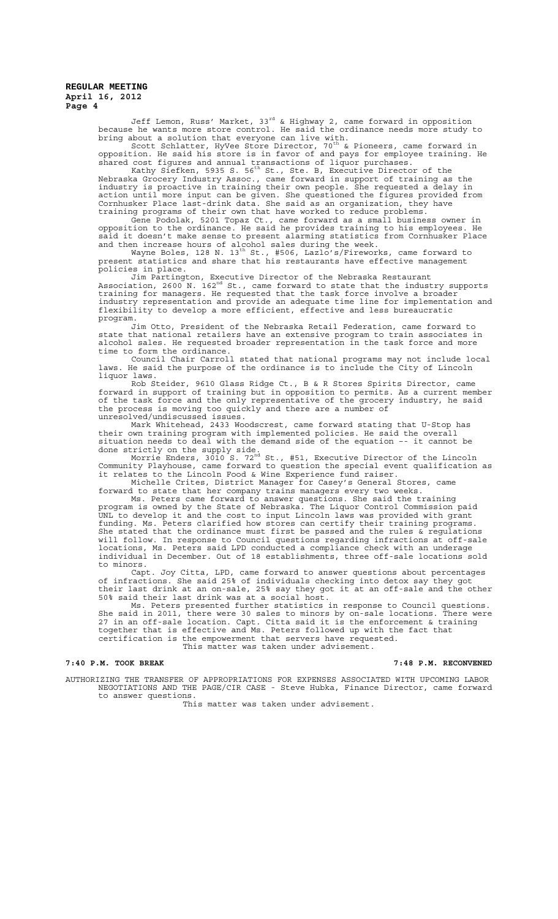Jeff Lemon, Russ' Market, 33rd & Highway 2, came forward in opposition because he wants more store control. He said the ordinance needs more study to bring about a solution that everyone can live with.<br>Scott Schlatter, HyVee Store Director, 70<sup>th</sup> & Pioneers, came forward in

opposition. He said his store is in favor of and pays for employee training. He shared cost figures and annual transactions of liquor purchases.<br>Kathy Siefken, 5935 S. 56<sup>th</sup> St., Ste. B, Executive Director of the

Nebraska Grocery Industry Assoc., came forward in support of training as the industry is proactive in training their own people. She requested a delay in action until more input can be given. She questioned the figures provided from Cornhusker Place last-drink data. She said as an organization, they have training programs of their own that have worked to reduce problems.

Gene Podolak, 5201 Topaz Ct., came forward as a small business owner in opposition to the ordinance. He said he provides training to his employees. He said it doesn't make sense to present alarming statistics from Cornhusker Place and then increase hours of alcohol sales during the week.<br>Wayne Boles, 128 N. 13<sup>th</sup> St., #506, Lazlo's/Fireworks, came forward to

present statistics and share that his restaurants have effective management policies in place.

Jim Partington, Executive Director of the Nebraska Restaurant Association, 2600 N. 162nd St., came forward to state that the industry supports training for managers. He requested that the task force involve a broader industry representation and provide an adequate time line for implementation and flexibility to develop a more efficient, effective and less bureaucratic program.

Jim Otto, President of the Nebraska Retail Federation, came forward to state that national retailers have an extensive program to train associates in alcohol sales. He requested broader representation in the task force and more time to form the ordinance.

Council Chair Carroll stated that national programs may not include local laws. He said the purpose of the ordinance is to include the City of Lincoln liquor laws.

Rob Steider, 9610 Glass Ridge Ct., B & R Stores Spirits Director, came forward in support of training but in opposition to permits. As a current member of the task force and the only representative of the grocery industry, he said the process is moving too quickly and there are a number of unresolved/undiscussed issues.

Mark Whitehead, 2433 Woodscrest, came forward stating that U-Stop has their own training program with implemented policies. He said the overall situation needs to deal with the demand side of the equation –- it cannot be done strictly on the supply side.<br>Morrie Enders, 3010 S. 72<sup>nd</sup> St., #51, Executive Director of the Lincoln

Community Playhouse, came forward to question the special event qualification as it relates to the Lincoln Food & Wine Experience fund raiser.

Michelle Crites, District Manager for Casey's General Stores, came forward to state that her company trains managers every two weeks.

Ms. Peters came forward to answer questions. She said the training program is owned by the State of Nebraska. The Liquor Control Commission paid UNL to develop it and the cost to input Lincoln laws was provided with grant funding. Ms. Peters clarified how stores can certify their training programs. She stated that the ordinance must first be passed and the rules  $\&$  regulations will follow. In response to Council questions regarding infractions at off-sale locations, Ms. Peters said LPD conducted a compliance check with an underage individual in December. Out of 18 establishments, three off-sale locations sold to minors.

Capt. Joy Citta, LPD, came forward to answer questions about percentages of infractions. She said 25% of individuals checking into detox say they got their last drink at an on-sale, 25% say they got it at an off-sale and the other 50% said their last drink was at a social host.

Ms. Peters presented further statistics in response to Council questions. She said in 2011, there were 30 sales to minors by on-sale locations. There were 27 in an off-sale location. Capt. Citta said it is the enforcement & training together that is effective and Ms. Peters followed up with the fact that certification is the empowerment that servers have requested. This matter was taken under advisement.

## **7:40 P.M. TOOK BREAK 7:48 P.M. RECONVENED**

AUTHORIZING THE TRANSFER OF APPROPRIATIONS FOR EXPENSES ASSOCIATED WITH UPCOMING LABOR NEGOTIATIONS AND THE PAGE/CIR CASE - Steve Hubka, Finance Director, came forward to answer questions.

This matter was taken under advisement.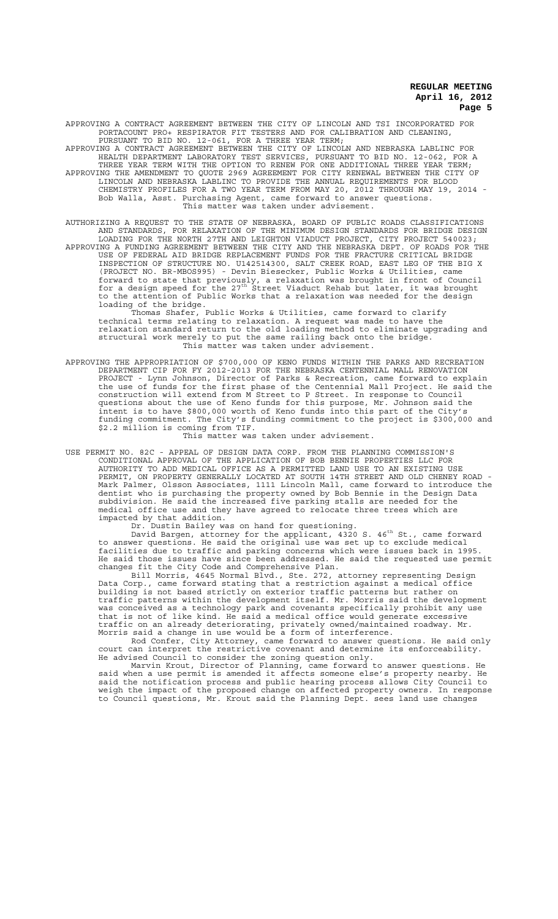APPROVING A CONTRACT AGREEMENT BETWEEN THE CITY OF LINCOLN AND TSI INCORPORATED FOR PORTACOUNT PRO+ RESPIRATOR FIT TESTERS AND FOR CALIBRATION AND CLEANING, PURSUANT TO BID NO. 12-061, FOR A THREE YEAR TERM;

APPROVING A CONTRACT AGREEMENT BETWEEN THE CITY OF LINCOLN AND NEBRASKA LABLINC FOR HEALTH DEPARTMENT LABORATORY TEST SERVICES, PURSUANT TO BID NO. 12-062, FOR A THREE YEAR TERM WITH THE OPTION TO RENEW FOR ONE ADDITIONAL THREE YEAR TERM; APPROVING THE AMENDMENT TO QUOTE 2969 AGREEMENT FOR CITY RENEWAL BETWEEN THE CITY OF

LINCOLN AND NEBRASKA LABLINC TO PROVIDE THE ANNUAL REQUIREMENTS FOR BLOOD CHEMISTRY PROFILES FOR A TWO YEAR TERM FROM MAY 20, 2012 THROUGH MAY 19, 2014 - Bob Walla, Asst. Purchasing Agent, came forward to answer questions. This matter was taken under advisement.

AUTHORIZING A REQUEST TO THE STATE OF NEBRASKA, BOARD OF PUBLIC ROADS CLASSIFICATIONS AND STANDARDS, FOR RELAXATION OF THE MINIMUM DESIGN STANDARDS FOR BRIDGE DESIGN LOADING FOR THE NORTH 27TH AND LEIGHTON VIADUCT PROJECT, CITY PROJECT 540023; APPROVING A FUNDING AGREEMENT BETWEEN THE CITY AND THE NEBRASKA DEPT. OF ROADS FOR THE USE OF FEDERAL AID BRIDGE REPLACEMENT FUNDS FOR THE FRACTURE CRITICAL BRIDGE INSPECTION OF STRUCTURE NO. U142514300, SALT CREEK ROAD, EAST LEG OF THE BIG X (PROJECT NO. BR-MBOS995) - Devin Biesecker, Public Works & Utilities, came forward to state that previously, a relaxation was brought in front of Council<br>for a design speed for the 27<sup>th</sup> Street Viaduct Rehab but later, it was brought

to the attention of Public Works that a relaxation was needed for the design loading of the bridge. Thomas Shafer, Public Works & Utilities, came forward to clarify

technical terms relating to relaxation. A request was made to have the relaxation standard return to the old loading method to eliminate upgrading and structural work merely to put the same railing back onto the bridge. This matter was taken under advisement.

APPROVING THE APPROPRIATION OF \$700,000 OF KENO FUNDS WITHIN THE PARKS AND RECREATION DEPARTMENT CIP FOR FY 2012-2013 FOR THE NEBRASKA CENTENNIAL MALL RENOVATION PROJECT - Lynn Johnson, Director of Parks & Recreation, came forward to explain the use of funds for the first phase of the Centennial Mall Project. He said the construction will extend from M Street to P Street. In response to Council questions about the use of Keno funds for this purpose, Mr. Johnson said the intent is to have \$800,000 worth of Keno funds into this part of the City's funding commitment. The City's funding commitment to the project is \$300,000 and \$2.2 million is coming from TIF.

This matter was taken under advisement.

USE PERMIT NO. 82C - APPEAL OF DESIGN DATA CORP. FROM THE PLANNING COMMISSION'S CONDITIONAL APPROVAL OF THE APPLICATION OF BOB BENNIE PROPERTIES LLC FOR AUTHORITY TO ADD MEDICAL OFFICE AS A PERMITTED LAND USE TO AN EXISTING USE PERMIT, ON PROPERTY GENERALLY LOCATED AT SOUTH 14TH STREET AND OLD CHENEY ROAD - Mark Palmer, Olsson Associates, 1111 Lincoln Mall, came forward to introduce the dentist who is purchasing the property owned by Bob Bennie in the Design Data subdivision. He said the increased five parking stalls are needed for the medical office use and they have agreed to relocate three trees which are impacted by that addition.

Dr. Dustin Bailey was on hand for questioning.<br>David Bargen, attorney for the applicant, 4320 S. 46<sup>th</sup> St., came forward to answer questions. He said the original use was set up to exclude medical facilities due to traffic and parking concerns which were issues back in 1995. He said those issues have since been addressed. He said the requested use permit changes fit the City Code and Comprehensive Plan.

Bill Morris, 4645 Normal Blvd., Ste. 272, attorney representing Design Data Corp., came forward stating that a restriction against a medical office building is not based strictly on exterior traffic patterns but rather on traffic patterns within the development itself. Mr. Morris said the development was conceived as a technology park and covenants specifically prohibit any use that is not of like kind. He said a medical office would generate excessive traffic on an already deteriorating, privately owned/maintained roadway. Mr. Morris said a change in use would be a form of interference.

Rod Confer, City Attorney, came forward to answer questions. He said only court can interpret the restrictive covenant and determine its enforceability. He advised Council to consider the zoning question only.

Marvin Krout, Director of Planning, came forward to answer questions. He said when a use permit is amended it affects someone else's property nearby. He said the notification process and public hearing process allows City Council to weigh the impact of the proposed change on affected property owners. In response to Council questions, Mr. Krout said the Planning Dept. sees land use changes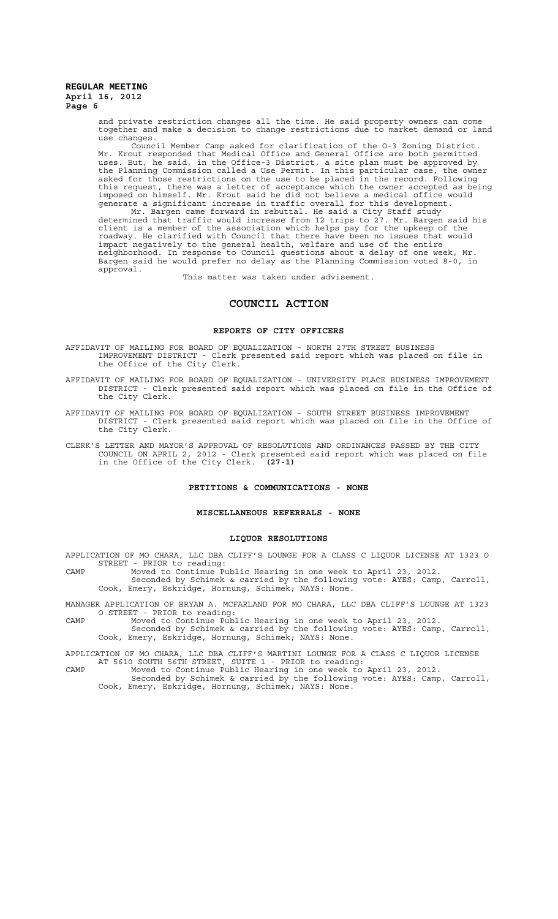and private restriction changes all the time. He said property owners can come together and make a decision to change restrictions due to market demand or land use changes.

Council Member Camp asked for clarification of the O-3 Zoning District. Mr. Krout responded that Medical Office and General Office are both permitted uses. But, he said, in the Office-3 District, a site plan must be approved by the Planning Commission called a Use Permit. In this particular case, the owner asked for those restrictions on the use to be placed in the record. Following this request, there was a letter of acceptance which the owner accepted as being imposed on himself. Mr. Krout said he did not believe a medical office would generate a significant increase in traffic overall for this development.

Mr. Bargen came forward in rebuttal. He said a City Staff study determined that traffic would increase from 12 trips to 27. Mr. Bargen said his client is a member of the association which helps pay for the upkeep of the roadway. He clarified with Council that there have been no issues that would impact negatively to the general health, welfare and use of the entire neighborhood. In response to Council questions about a delay of one week, Mr. Bargen said he would prefer no delay as the Planning Commission voted 8-0, in approval.

This matter was taken under advisement.

# **COUNCIL ACTION**

#### **REPORTS OF CITY OFFICERS**

AFFIDAVIT OF MAILING FOR BOARD OF EQUALIZATION - NORTH 27TH STREET BUSINESS IMPROVEMENT DISTRICT - Clerk presented said report which was placed on file in the Office of the City Clerk.

- AFFIDAVIT OF MAILING FOR BOARD OF EQUALIZATION UNIVERSITY PLACE BUSINESS IMPROVEMENT DISTRICT - Clerk presented said report which was placed on file in the Office of the City Clerk.
- AFFIDAVIT OF MAILING FOR BOARD OF EQUALIZATION SOUTH STREET BUSINESS IMPROVEMENT DISTRICT - Clerk presented said report which was placed on file in the Office of the City Clerk.

CLERK'S LETTER AND MAYOR'S APPROVAL OF RESOLUTIONS AND ORDINANCES PASSED BY THE CITY COUNCIL ON APRIL 2, 2012 - Clerk presented said report which was placed on file in the Office of the City Clerk. **(27-1)**

# **PETITIONS & COMMUNICATIONS - NONE**

#### **MISCELLANEOUS REFERRALS - NONE**

#### **LIQUOR RESOLUTIONS**

APPLICATION OF MO CHARA, LLC DBA CLIFF'S LOUNGE FOR A CLASS C LIQUOR LICENSE AT 1323 O STREET - PRIOR to reading:

CAMP Moved to Continue Public Hearing in one week to April 23, 2012. Seconded by Schimek & carried by the following vote: AYES: Camp, Carroll, Cook, Emery, Eskridge, Hornung, Schimek; NAYS: None.

MANAGER APPLICATION OF BRYAN A. MCFARLAND FOR MO CHARA, LLC DBA CLIFF'S LOUNGE AT 1323 O STREET - PRIOR to reading:

CAMP Moved to Continue Public Hearing in one week to April 23, 2012. Seconded by Schimek & carried by the following vote: AYES: Camp, Carroll, Cook, Emery, Eskridge, Hornung, Schimek; NAYS: None.

APPLICATION OF MO CHARA, LLC DBA CLIFF'S MARTINI LOUNGE FOR A CLASS C LIQUOR LICENSE AT 5610 SOUTH 56TH STREET, SUITE 1 - PRIOR to reading:

CAMP Moved to Continue Public Hearing in one week to April 23, 2012. Seconded by Schimek & carried by the following vote: AYES: Camp, Carroll,

Cook, Emery, Eskridge, Hornung, Schimek; NAYS: None.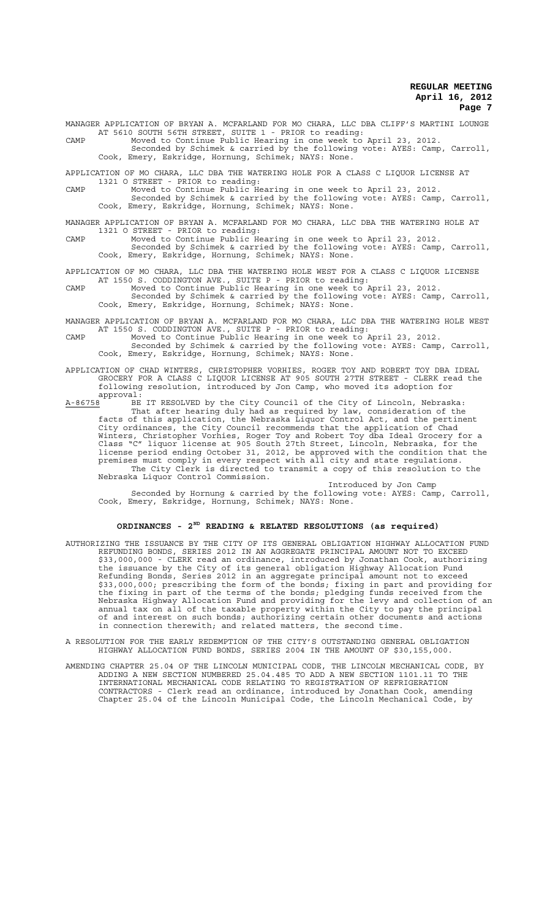MANAGER APPLICATION OF BRYAN A. MCFARLAND FOR MO CHARA, LLC DBA CLIFF'S MARTINI LOUNGE AT 5610 SOUTH 56TH STREET, SUITE 1 - PRIOR to reading: CAMP Moved to Continue Public Hearing in one week to April 23, 2012. Seconded by Schimek & carried by the following vote: AYES: Camp, Carroll,

Cook, Emery, Eskridge, Hornung, Schimek; NAYS: None.

APPLICATION OF MO CHARA, LLC DBA THE WATERING HOLE FOR A CLASS C LIQUOR LICENSE AT 1321 O STREET - PRIOR to reading:

CAMP Moved to Continue Public Hearing in one week to April 23, 2012. Seconded by Schimek & carried by the following vote: AYES: Camp, Carroll, Cook, Emery, Eskridge, Hornung, Schimek; NAYS: None.

MANAGER APPLICATION OF BRYAN A. MCFARLAND FOR MO CHARA, LLC DBA THE WATERING HOLE AT 1321 O STREET - PRIOR to reading:

CAMP Moved to Continue Public Hearing in one week to April 23, 2012. Seconded by Schimek & carried by the following vote: AYES: Camp, Carroll, Cook, Emery, Eskridge, Hornung, Schimek; NAYS: None.

APPLICATION OF MO CHARA, LLC DBA THE WATERING HOLE WEST FOR A CLASS C LIQUOR LICENSE AT 1550 S. CODDINGTON AVE., SUITE P - PRIOR to reading:

- CAMP Moved to Continue Public Hearing in one week to April 23, 2012. Seconded by Schimek & carried by the following vote: AYES: Camp, Carroll, Cook, Emery, Eskridge, Hornung, Schimek; NAYS: None.
- MANAGER APPLICATION OF BRYAN A. MCFARLAND FOR MO CHARA, LLC DBA THE WATERING HOLE WEST AT 1550 S. CODDINGTON AVE., SUITE P - PRIOR to reading:
- CAMP Moved to Continue Public Hearing in one week to April 23, 2012. Seconded by Schimek & carried by the following vote: AYES: Camp, Carroll, Cook, Emery, Eskridge, Hornung, Schimek; NAYS: None.
- APPLICATION OF CHAD WINTERS, CHRISTOPHER VORHIES, ROGER TOY AND ROBERT TOY DBA IDEAL GROCERY FOR A CLASS C LIQUOR LICENSE AT 905 SOUTH 27TH STREET - CLERK read the following resolution, introduced by Jon Camp, who moved its adoption for
- approval:<br>A-86758 BE A-86758 BE IT RESOLVED by the City Council of the City of Lincoln, Nebraska: That after hearing duly had as required by law, consideration of the facts of this application, the Nebraska Liquor Control Act, and the pertinent City ordinances, the City Council recommends that the application of Chad Winters, Christopher Vorhies, Roger Toy and Robert Toy dba Ideal Grocery for a Class "C" liquor license at 905 South 27th Street, Lincoln, Nebraska, for the license period ending October 31, 2012, be approved with the condition that the premises must comply in every respect with all city and state regulations. The City Clerk is directed to transmit a copy of this resolution to the Nebraska Liquor Control Commission.

Introduced by Jon Camp Seconded by Hornung & carried by the following vote: AYES: Camp, Carroll, Cook, Emery, Eskridge, Hornung, Schimek; NAYS: None.

# **ORDINANCES - 2ND READING & RELATED RESOLUTIONS (as required)**

- AUTHORIZING THE ISSUANCE BY THE CITY OF ITS GENERAL OBLIGATION HIGHWAY ALLOCATION FUND<br>REFUNDING BONDS, SERIES 2012 IN AN AGGREGATE PRINCIPAL AMOUNT NOT TO EXCEED REFUNDING BONDS, SERIES 2012 IN AN AGGREGATE PRINCIPAL AMOUNT NOT \$33,000,000 - CLERK read an ordinance, introduced by Jonathan Cook, authorizing the issuance by the City of its general obligation Highway Allocation Fund Refunding Bonds, Series 2012 in an aggregate principal amount not to exceed \$33,000,000; prescribing the form of the bonds; fixing in part and providing for the fixing in part of the terms of the bonds; pledging funds received from the Nebraska Highway Allocation Fund and providing for the levy and collection of an annual tax on all of the taxable property within the City to pay the principal of and interest on such bonds; authorizing certain other documents and actions in connection therewith; and related matters, the second time.
- A RESOLUTION FOR THE EARLY REDEMPTION OF THE CITY'S OUTSTANDING GENERAL OBLIGATION HIGHWAY ALLOCATION FUND BONDS, SERIES 2004 IN THE AMOUNT OF \$30,155,000.
- AMENDING CHAPTER 25.04 OF THE LINCOLN MUNICIPAL CODE, THE LINCOLN MECHANICAL CODE, BY ADDING A NEW SECTION NUMBERED 25.04.485 TO ADD A NEW SECTION 1101.11 TO THE INTERNATIONAL MECHANICAL CODE RELATING TO REGISTRATION OF REFRIGERATION CONTRACTORS - Clerk read an ordinance, introduced by Jonathan Cook, amending Chapter 25.04 of the Lincoln Municipal Code, the Lincoln Mechanical Code, by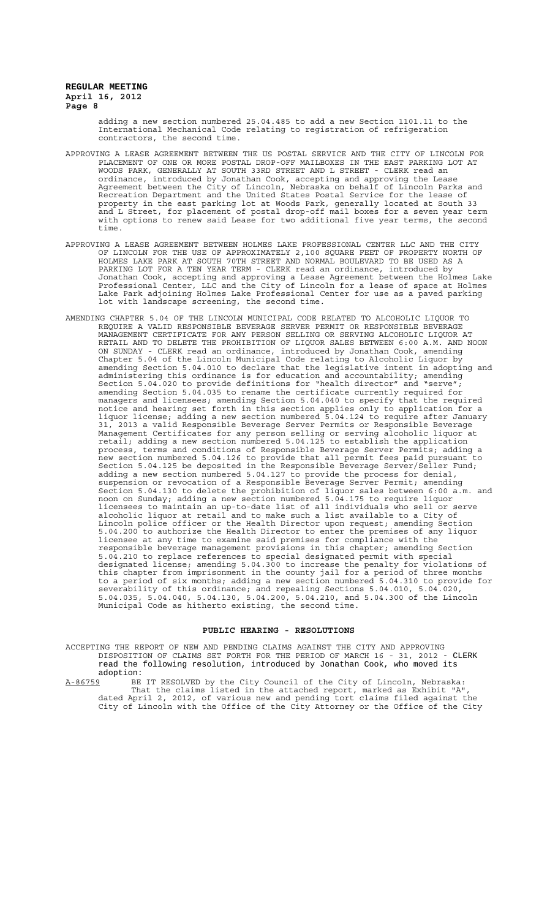> adding a new section numbered 25.04.485 to add a new Section 1101.11 to the International Mechanical Code relating to registration of refrigeration contractors, the second time.

- APPROVING A LEASE AGREEMENT BETWEEN THE US POSTAL SERVICE AND THE CITY OF LINCOLN FOR PLACEMENT OF ONE OR MORE POSTAL DROP-OFF MAILBOXES IN THE EAST PARKING LOT AT WOODS PARK, GENERALLY AT SOUTH 33RD STREET AND L STREET - CLERK read an ordinance, introduced by Jonathan Cook, accepting and approving the Lease Agreement between the City of Lincoln, Nebraska on behalf of Lincoln Parks and Recreation Department and the United States Postal Service for the lease of property in the east parking lot at Woods Park, generally located at South 33 and L Street, for placement of postal drop-off mail boxes for a seven year term with options to renew said Lease for two additional five year terms, the second time.
- APPROVING A LEASE AGREEMENT BETWEEN HOLMES LAKE PROFESSIONAL CENTER LLC AND THE CITY OF LINCOLN FOR THE USE OF APPROXIMATELY 2,100 SQUARE FEET OF PROPERTY NORTH OF HOLMES LAKE PARK AT SOUTH 70TH STREET AND NORMAL BOULEVARD TO BE USED AS A PARKING LOT FOR A TEN YEAR TERM - CLERK read an ordinance, introduced by Jonathan Cook, accepting and approving a Lease Agreement between the Holmes Lake Professional Center, LLC and the City of Lincoln for a lease of space at Holmes Lake Park adjoining Holmes Lake Professional Center for use as a paved parking lot with landscape screening, the second time.
- AMENDING CHAPTER 5.04 OF THE LINCOLN MUNICIPAL CODE RELATED TO ALCOHOLIC LIQUOR TO REQUIRE A VALID RESPONSIBLE BEVERAGE SERVER PERMIT OR RESPONSIBLE BEVERAGE MANAGEMENT CERTIFICATE FOR ANY PERSON SELLING OR SERVING ALCOHOLIC LIQUOR AT RETAIL AND TO DELETE THE PROHIBITION OF LIQUOR SALES BETWEEN 6:00 A.M. AND NOON ON SUNDAY - CLERK read an ordinance, introduced by Jonathan Cook, amending Chapter 5.04 of the Lincoln Municipal Code relating to Alcoholic Liquor by amending Section 5.04.010 to declare that the legislative intent in adopting and administering this ordinance is for education and accountability; amending Section 5.04.020 to provide definitions for "health director" and "serve"; amending Section 5.04.035 to rename the certificate currently required for managers and licensees; amending Section 5.04.040 to specify that the required notice and hearing set forth in this section applies only to application for a liquor license; adding a new section numbered 5.04.124 to require after January 31, 2013 a valid Responsible Beverage Server Permits or Responsible Beverage Management Certificates for any person selling or serving alcoholic liquor at retail; adding a new section numbered 5.04.125 to establish the application process, terms and conditions of Responsible Beverage Server Permits; adding a new section numbered 5.04.126 to provide that all permit fees paid pursuant to Section 5.04.125 be deposited in the Responsible Beverage Server/Seller Fund; adding a new section numbered 5.04.127 to provide the process for denial, suspension or revocation of a Responsible Beverage Server Permit; amending Section 5.04.130 to delete the prohibition of liquor sales between 6:00 a.m. and noon on Sunday; adding a new section numbered 5.04.175 to require liquor licensees to maintain an up-to-date list of all individuals who sell or serve alcoholic liquor at retail and to make such a list available to a City of Lincoln police officer or the Health Director upon request; amending Section 5.04.200 to authorize the Health Director to enter the premises of any liquor licensee at any time to examine said premises for compliance with the responsible beverage management provisions in this chapter; amending Section 5.04.210 to replace references to special designated permit with special designated license; amending 5.04.300 to increase the penalty for violations of this chapter from imprisonment in the county jail for a period of three months to a period of six months; adding a new section numbered 5.04.310 to provide for severability of this ordinance; and repealing Sections 5.04.010, 5.04.020, 5.04.035, 5.04.040, 5.04.130, 5.04.200, 5.04.210, and 5.04.300 of the Lincoln Municipal Code as hitherto existing, the second time.

#### **PUBLIC HEARING - RESOLUTIONS**

ACCEPTING THE REPORT OF NEW AND PENDING CLAIMS AGAINST THE CITY AND APPROVING DISPOSITION OF CLAIMS SET FORTH FOR THE PERIOD OF MARCH 16 - 31, 2012 - CLERK read the following resolution, introduced by Jonathan Cook, who moved its adoption:<br>A-86759 BE

A-86759 BE IT RESOLVED by the City Council of the City of Lincoln, Nebraska: That the claims listed in the attached report, marked as Exhibit "A", dated April 2, 2012, of various new and pending tort claims filed against the City of Lincoln with the Office of the City Attorney or the Office of the City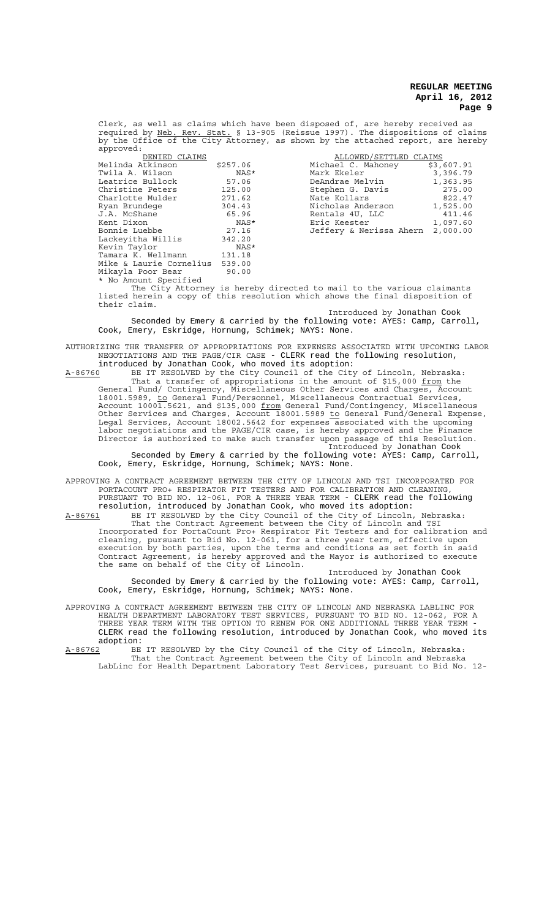Clerk, as well as claims which have been disposed of, are hereby received as required by Neb. Rev. Stat. § 13-905 (Reissue 1997). The dispositions of claims by the Office of the City Attorney, as shown by the attached report, are hereby  $anproved:$ 

| DENIED CLAIMS                  |          | ALLOWED/SETTLED CLAIMS  |      |
|--------------------------------|----------|-------------------------|------|
| Melinda Atkinson               | \$257.06 | Michael C. Mahoney      | \$3, |
| Twila A. Wilson                | NAS*     | Mark Ekeler             | 3,   |
| Leatrice Bullock               | 57.06    | DeAndrae Melvin         | 1,   |
| Christine Peters               | 125.00   | Stephen G. Davis        |      |
| Charlotte Mulder               | 271.62   | Nate Kollars            |      |
| Ryan Brundege                  | 304.43   | Nicholas Anderson       | 1,   |
| J.A. McShane                   | 65.96    | Rentals 4U. LLC         |      |
| Kent Dixon                     | NAS*     | Eric Keester            | 1,   |
| Bonnie Luebbe                  | 27.16    | Jeffery & Nerissa Ahern | 2,   |
| Lackeyitha Willis              | 342.20   |                         |      |
| Kevin Taylor                   | NAS*     |                         |      |
| Tamara K. Wellmann             | 131.18   |                         |      |
| Mike & Laurie Cornelius 539.00 |          |                         |      |
| Mikayla Poor Bear              | 90.00    |                         |      |
| * No Amount Specified          |          |                         |      |

Melinda Atkinson \$257.06 Michael C. Mahoney \$3,607.91 Twila A. Wilson NAS\* Mark Ekeler 3,396.79 Leandrae Melvin 1,363.95<br>Stephen G. Davis 1,363.95 Stephen G. Davis 1275.00<br>Nate Kollars 1822.47 Nate Kollars 1922.47<br>Nicholas Anderson 1,525.00 Nicholas Anderson 1,525.00<br>Rentals 4U, LLC 411.46 Nicholas Anseles<br>Rentals 4U, LLC Kent Dixon NAS\* Eric Keester 1,097.60 Bonnie Luebbe 27.16 Jeffery & Nerissa Ahern 2,000.00

The City Attorney is hereby directed to mail to the various claimants listed herein a copy of this resolution which shows the final disposition of their claim.

Introduced by Jonathan Cook

Seconded by Emery & carried by the following vote: AYES: Camp, Carroll, Cook, Emery, Eskridge, Hornung, Schimek; NAYS: None.

AUTHORIZING THE TRANSFER OF APPROPRIATIONS FOR EXPENSES ASSOCIATED WITH UPCOMING LABOR NEGOTIATIONS AND THE PAGE/CIR CASE - CLERK read the following resolution,

introduced by Jonathan Cook, who moved its adoption:<br>A-86760 BE IT RESOLVED by the City Council of the City A-86760 BE IT RESOLVED by the City Council of the City of Lincoln, Nebraska: That a transfer of appropriations in the amount of \$15,000 from the General Fund/ Contingency, Miscellaneous Other Services and Charges, Account 18001.5989, to General Fund/Personnel, Miscellaneous Contractual Services, Account 10001.5621, and \$135,000 <u>from</u> General Fund/Contingency, Miscellaneous Other Services and Charges, Account 18001.5989 to General Fund/General Expense, Legal Services, Account 18002.5642 for expenses associated with the upcoming labor negotiations and the PAGE/CIR case, is hereby approved and the Finance Director is authorized to make such transfer upon passage of this Resolution. Introduced by Jonathan Cook

Seconded by Emery & carried by the following vote: AYES: Camp, Carroll, Cook, Emery, Eskridge, Hornung, Schimek; NAYS: None.

APPROVING A CONTRACT AGREEMENT BETWEEN THE CITY OF LINCOLN AND TSI INCORPORATED FOR PORTACOUNT PRO+ RESPIRATOR FIT TESTERS AND FOR CALIBRATION AND CLEANING, PURSUANT TO BID NO. 12-061, FOR A THREE YEAR TERM - CLERK read the following resolution, introduced by Jonathan Cook, who moved its adoption:

A-86761 BE IT RESOLVED by the City Council of the City of Lincoln, Nebraska: That the Contract Agreement between the City of Lincoln and TSI Incorporated for PortaCount Pro+ Respirator Fit Testers and for calibration and cleaning, pursuant to Bid No. 12-061, for a three year term, effective upon execution by both parties, upon the terms and conditions as set forth in said Contract Agreement, is hereby approved and the Mayor is authorized to execute the same on behalf of the City of Lincoln.

Introduced by Jonathan Cook Seconded by Emery & carried by the following vote: AYES: Camp, Carroll, Cook, Emery, Eskridge, Hornung, Schimek; NAYS: None.

APPROVING A CONTRACT AGREEMENT BETWEEN THE CITY OF LINCOLN AND NEBRASKA LABLINC FOR HEALTH DEPARTMENT LABORATORY TEST SERVICES, PURSUANT TO BID NO. 12-062, FOR A THREE YEAR TERM WITH THE OPTION TO RENEW FOR ONE ADDITIONAL THREE YEAR TERM - CLERK read the following resolution, introduced by Jonathan Cook, who moved its adoption:<br>A-86762 BE

A-86762 BE IT RESOLVED by the City Council of the City of Lincoln, Nebraska: That the Contract Agreement between the City of Lincoln and Nebraska LabLinc for Health Department Laboratory Test Services, pursuant to Bid No. 12-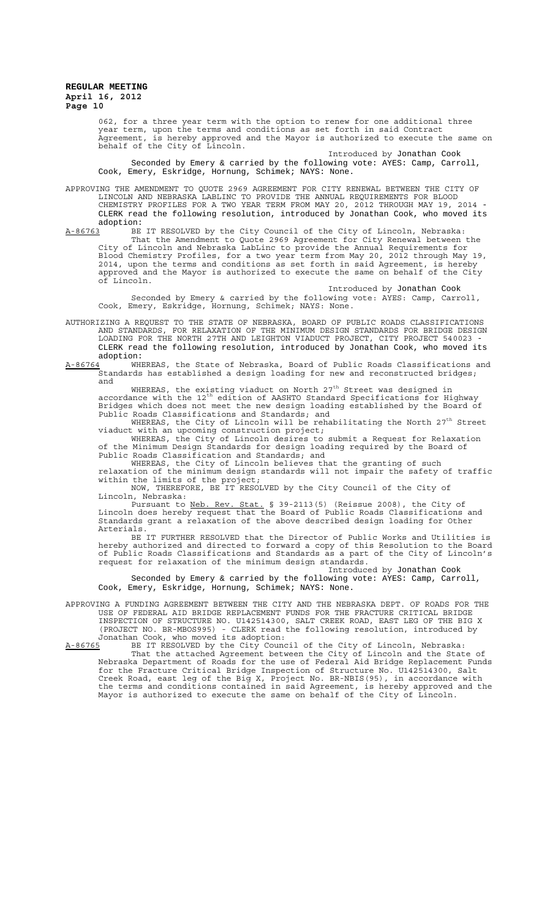062, for a three year term with the option to renew for one additional three year term, upon the terms and conditions as set forth in said Contract Agreement, is hereby approved and the Mayor is authorized to execute the same on behalf of the City of Lincoln.

Introduced by Jonathan Cook

Seconded by Emery & carried by the following vote: AYES: Camp, Carroll, Cook, Emery, Eskridge, Hornung, Schimek; NAYS: None.

APPROVING THE AMENDMENT TO QUOTE 2969 AGREEMENT FOR CITY RENEWAL BETWEEN THE CITY OF LINCOLN AND NEBRASKA LABLINC TO PROVIDE THE ANNUAL REQUIREMENTS FOR BLOOD CHEMISTRY PROFILES FOR A TWO YEAR TERM FROM MAY 20, 2012 THROUGH MAY 19, 2014 - CLERK read the following resolution, introduced by Jonathan Cook, who moved its adoption:<br><u>A-86763</u> BE

A-86763 BE IT RESOLVED by the City Council of the City of Lincoln, Nebraska: That the Amendment to Quote 2969 Agreement for City Renewal between the City of Lincoln and Nebraska LabLinc to provide the Annual Requirements for Blood Chemistry Profiles, for a two year term from May 20, 2012 through May 19, 2014, upon the terms and conditions as set forth in said Agreement, is hereby approved and the Mayor is authorized to execute the same on behalf of the City of Lincoln.

Introduced by Jonathan Cook Seconded by Emery & carried by the following vote: AYES: Camp, Carroll, Cook, Emery, Eskridge, Hornung, Schimek; NAYS: None.

AUTHORIZING A REQUEST TO THE STATE OF NEBRASKA, BOARD OF PUBLIC ROADS CLASSIFICATIONS<br>AND STANDARDS, FOR RELAXATION OF THE MINIMUM DESIGN STANDARDS FOR BRIDGE DESIGN FOR RELAXATION OF THE MINIMUM DESIGN STANDARDS FOR BRIDGE DESIGN LOADING FOR THE NORTH 27TH AND LEIGHTON VIADUCT PROJECT, CITY PROJECT 540023 - CLERK read the following resolution, introduced by Jonathan Cook, who moved its adoption:<br>A-86764 WHI

WHEREAS, the State of Nebraska, Board of Public Roads Classifications and Standards has established a design loading for new and reconstructed bridges; and

WHEREAS, the existing viaduct on North  $27<sup>th</sup>$  Street was designed in accordance with the  $12^{\text{th}}$  edition of AASHTO Standard Specifications for Highway Bridges which does not meet the new design loading established by the Board of Public Roads Classifications and Standards; and

WHEREAS, the City of Lincoln will be rehabilitating the North  $27<sup>th</sup>$  Street viaduct with an upcoming construction project;

WHEREAS, the City of Lincoln desires to submit a Request for Relaxation of the Minimum Design Standards for design loading required by the Board of Public Roads Classification and Standards; and

WHEREAS, the City of Lincoln believes that the granting of such relaxation of the minimum design standards will not impair the safety of traffic within the limits of the project;

NOW, THEREFORE, BE IT RESOLVED by the City Council of the City of Lincoln, Nebraska:

Pursuant to Neb. Rev. Stat. § 39-2113(5) (Reissue 2008), the City of Lincoln does hereby request that the Board of Public Roads Classifications and Standards grant a relaxation of the above described design loading for Other Arterials.

BE IT FURTHER RESOLVED that the Director of Public Works and Utilities is hereby authorized and directed to forward a copy of this Resolution to the Board of Public Roads Classifications and Standards as a part of the City of Lincoln's request for relaxation of the minimum design standards.

Introduced by Jonathan Cook Seconded by Emery & carried by the following vote: AYES: Camp, Carroll, Cook, Emery, Eskridge, Hornung, Schimek; NAYS: None.

APPROVING A FUNDING AGREEMENT BETWEEN THE CITY AND THE NEBRASKA DEPT. OF ROADS FOR THE USE OF FEDERAL AID BRIDGE REPLACEMENT FUNDS FOR THE FRACTURE CRITICAL BRIDGE INSPECTION OF STRUCTURE NO. U142514300, SALT CREEK ROAD, EAST LEG OF THE BIG X (PROJECT NO. BR-MBOS995) - CLERK read the following resolution, introduced by Jonathan Cook, who moved its adoption:<br>A-86765 BE IT RESOLVED by the City Cound

A-86765 BE IT RESOLVED by the City Council of the City of Lincoln, Nebraska: That the attached Agreement between the City of Lincoln and the State of Nebraska Department of Roads for the use of Federal Aid Bridge Replacement Funds for the Fracture Critical Bridge Inspection of Structure No. U142514300, Salt Creek Road, east leg of the Big X, Project No. BR-NBIS(95), in accordance with the terms and conditions contained in said Agreement, is hereby approved and the Mayor is authorized to execute the same on behalf of the City of Lincoln.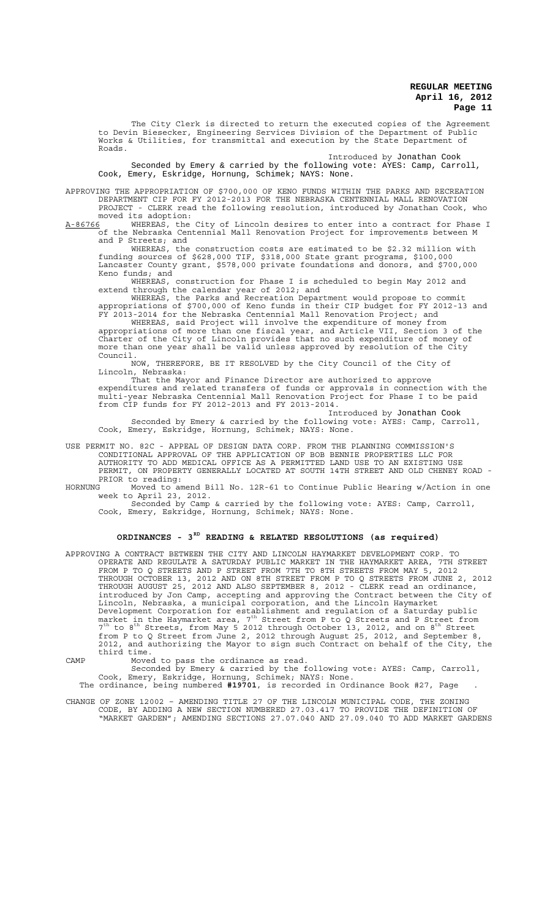The City Clerk is directed to return the executed copies of the Agreement to Devin Biesecker, Engineering Services Division of the Department of Public Works & Utilities, for transmittal and execution by the State Department of Roads.

Introduced by Jonathan Cook

Seconded by Emery & carried by the following vote: AYES: Camp, Carroll, Cook, Emery, Eskridge, Hornung, Schimek; NAYS: None.

APPROVING THE APPROPRIATION OF \$700,000 OF KENO FUNDS WITHIN THE PARKS AND RECREATION DEPARTMENT CIP FOR FY 2012-2013 FOR THE NEBRASKA CENTENNIAL MALL RENOVATION PROJECT - CLERK read the following resolution, introduced by Jonathan Cook, moved its adoption:

A-86766 WHEREAS, the City of Lincoln desires to enter into a contract for Phase I of the Nebraska Centennial Mall Renovation Project for improvements between M and P Streets; and

WHEREAS, the construction costs are estimated to be \$2.32 million with funding sources of \$628,000 TIF, \$318,000 State grant programs, \$100,000 Lancaster County grant, \$578,000 private foundations and donors, and \$700,000 Keno funds; and

WHEREAS, construction for Phase I is scheduled to begin May 2012 and extend through the calendar year of 2012; and

WHEREAS, the Parks and Recreation Department would propose to commit appropriations of \$700,000 of Keno funds in their CIP budget for FY 2012-13 and FY 2013-2014 for the Nebraska Centennial Mall Renovation Project; and

WHEREAS, said Project will involve the expenditure of money from appropriations of more than one fiscal year, and Article VII, Section 3 of the Charter of the City of Lincoln provides that no such expenditure of money of more than one year shall be valid unless approved by resolution of the City Council.

NOW, THEREFORE, BE IT RESOLVED by the City Council of the City of Lincoln, Nebraska:

That the Mayor and Finance Director are authorized to approve expenditures and related transfers of funds or approvals in connection with the multi-year Nebraska Centennial Mall Renovation Project for Phase I to be paid from CIP funds for FY 2012-2013 and FY 2013-2014.

Introduced by Jonathan Cook Seconded by Emery & carried by the following vote: AYES: Camp, Carroll, Cook, Emery, Eskridge, Hornung, Schimek; NAYS: None.

USE PERMIT NO. 82C - APPEAL OF DESIGN DATA CORP. FROM THE PLANNING COMMISSION'S CONDITIONAL APPROVAL OF THE APPLICATION OF BOB BENNIE PROPERTIES LLC FOR AUTHORITY TO ADD MEDICAL OFFICE AS A PERMITTED LAND USE TO AN EXISTING USE PERMIT, ON PROPERTY GENERALLY LOCATED AT SOUTH 14TH STREET AND OLD CHENEY ROAD - PRIOR to reading:<br>HORNUNG Moved to an

Moved to amend Bill No. 12R-61 to Continue Public Hearing w/Action in one week to April 23, 2012.

Seconded by Camp & carried by the following vote: AYES: Camp, Carroll, Cook, Emery, Eskridge, Hornung, Schimek; NAYS: None.

# **ORDINANCES - 3RD READING & RELATED RESOLUTIONS (as required)**

APPROVING A CONTRACT BETWEEN THE CITY AND LINCOLN HAYMARKET DEVELOPMENT CORP. TO OPERATE AND REGULATE A SATURDAY PUBLIC MARKET IN THE HAYMARKET AREA, 7TH STREET FROM P TO Q STREETS AND P STREET FROM 7TH TO 8TH STREETS FROM MAY 5, 2012 THROUGH OCTOBER 13, 2012 AND ON 8TH STREET FROM P TO Q STREETS FROM JUNE 2, 2012 THROUGH AUGUST 25, 2012 AND ALSO SEPTEMBER 8, 2012 - CLERK read an ordinance, introduced by Jon Camp, accepting and approving the Contract between the City of Lincoln, Nebraska, a municipal corporation, and the Lincoln Haymarket Development Corporation for establishment and regulation of a Saturday public<br>market in the Haymarket area, 7<sup>th</sup> Street from P to Q Streets and P Street from  $7<sup>th</sup>$  to  $8<sup>th</sup>$  Streets, from May 5 2012 through October 13, 2012, and on  $8<sup>th</sup>$  Street from P to Q Street from June 2, 2012 through August 25, 2012, and September 8, 2012, and authorizing the Mayor to sign such Contract on behalf of the City, the third time.

CAMP Moved to pass the ordinance as read.

Seconded by Emery & carried by the following vote: AYES: Camp, Carroll, Cook, Emery, Eskridge, Hornung, Schimek; NAYS: None. The ordinance, being numbered **#19701**, is recorded in Ordinance Book #27, Page .

CHANGE OF ZONE 12002 – AMENDING TITLE 27 OF THE LINCOLN MUNICIPAL CODE, THE ZONING CODE, BY ADDING A NEW SECTION NUMBERED 27.03.417 TO PROVIDE THE DEFINITION OF "MARKET GARDEN"; AMENDING SECTIONS 27.07.040 AND 27.09.040 TO ADD MARKET GARDENS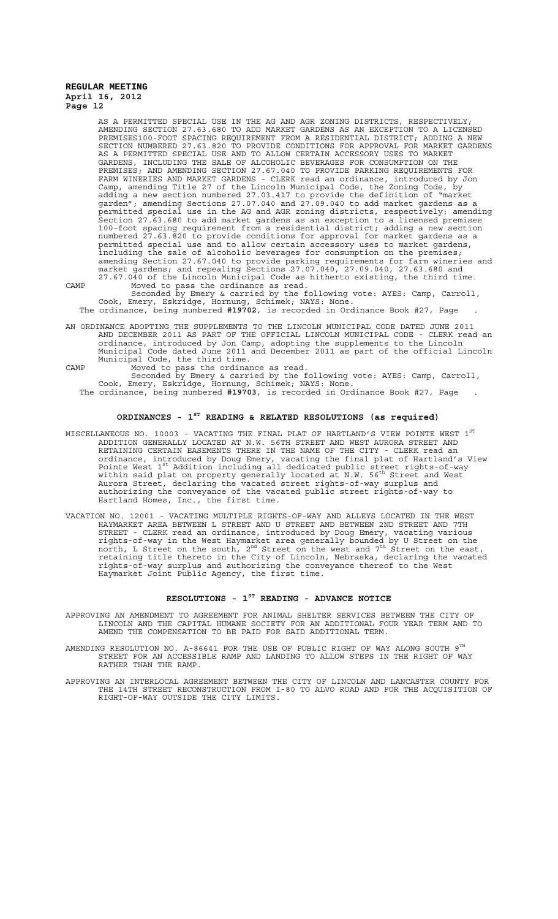AS A PERMITTED SPECIAL USE IN THE AG AND AGR ZONING DISTRICTS, RESPECTIVELY; AMENDING SECTION 27.63.680 TO ADD MARKET GARDENS AS AN EXCEPTION TO A LICENSED PREMISES100-FOOT SPACING REQUIREMENT FROM A RESIDENTIAL DISTRICT; ADDING A NEW SECTION NUMBERED 27.63.820 TO PROVIDE CONDITIONS FOR APPROVAL FOR MARKET GARDENS AS A PERMITTED SPECIAL USE AND TO ALLOW CERTAIN ACCESSORY USES TO MARKET GARDENS, INCLUDING THE SALE OF ALCOHOLIC BEVERAGES FOR CONSUMPTION ON THE PREMISES; AND AMENDING SECTION 27.67.040 TO PROVIDE PARKING REQUIREMENTS FOR FARM WINERIES AND MARKET GARDENS - CLERK read an ordinance, introduced by Jon Camp, amending Title 27 of the Lincoln Municipal Code, the Zoning Code, by adding a new section numbered 27.03.417 to provide the definition of "market garden"; amending Sections 27.07.040 and 27.09.040 to add market gardens as a permitted special use in the AG and AGR zoning districts, respectively; amending Section 27.63.680 to add market gardens as an exception to a licensed premises 100-foot spacing requirement from a residential district; adding a new section numbered 27.63.820 to provide conditions for approval for market gardens as a permitted special use and to allow certain accessory uses to market gardens, including the sale of alcoholic beverages for consumption on the premises; amending Section 27.67.040 to provide parking requirements for farm wineries and market gardens; and repealing Sections 27.07.040, 27.09.040, 27.63.680 and 27.67.040 of the Lincoln Municipal Code as hitherto existing, the third time.

CAMP Moved to pass the ordinance as read. Seconded by Emery & carried by the following vote: AYES: Camp, Carroll,

Cook, Emery, Eskridge, Hornung, Schimek; NAYS: None. The ordinance, being numbered **#19702**, is recorded in Ordinance Book #27, Page .

AN ORDINANCE ADOPTING THE SUPPLEMENTS TO THE LINCOLN MUNICIPAL CODE DATED JUNE 2011 AND DECEMBER 2011 AS PART OF THE OFFICIAL LINCOLN MUNICIPAL CODE - CLERK read an ordinance, introduced by Jon Camp, adopting the supplements to the Lincoln Municipal Code dated June 2011 and December 2011 as part of the official Lincoln Municipal Code, the third time.

CAMP Moved to pass the ordinance as read. Seconded by Emery & carried by the following vote: AYES: Camp, Carroll,

Cook, Emery, Eskridge, Hornung, Schimek; NAYS: None.

The ordinance, being numbered **#19703**, is recorded in Ordinance Book #27, Page .

# **ORDINANCES - 1ST READING & RELATED RESOLUTIONS (as required)**

- MISCELLANEOUS NO. 10003 VACATING THE FINAL PLAT OF HARTLAND'S VIEW POINTE WEST  $1^{\mathrm{ST}}$ ADDITION GENERALLY LOCATED AT N.W. 56TH STREET AND WEST AURORA STREET AND RETAINING CERTAIN EASEMENTS THERE IN THE NAME OF THE CITY - CLERK read an ordinance, introduced by Doug Emery, vacating the final plat of Hartland's View<br>Pointe West 1<sup>st</sup> Addition including all dedicated public street rights-of-way within said plat on property generally located at N.W. 56<sup>th</sup> Street and West Aurora Street, declaring the vacated street rights-of-way surplus and authorizing the conveyance of the vacated public street rights-of-way to Hartland Homes, Inc., the first time.
- VACATION NO. 12001 VACATING MULTIPLE RIGHTS-OF-WAY AND ALLEYS LOCATED IN THE WEST HAYMARKET AREA BETWEEN L STREET AND U STREET AND BETWEEN 2ND STREET AND 7TH STREET - CLERK read an ordinance, introduced by Doug Emery, vacating various rights-of-way in the West Haymarket area generally bounded by U Street on the<br>north, L Street on the south, 2<sup>nd</sup> Street on the west and 7<sup>th</sup> Street on the east, retaining title thereto in the City of Lincoln, Nebraska, declaring the vacated rights-of-way surplus and authorizing the conveyance thereof to the West Haymarket Joint Public Agency, the first time.

# **RESOLUTIONS - 1ST READING - ADVANCE NOTICE**

- APPROVING AN AMENDMENT TO AGREEMENT FOR ANIMAL SHELTER SERVICES BETWEEN THE CITY OF LINCOLN AND THE CAPITAL HUMANE SOCIETY FOR AN ADDITIONAL FOUR YEAR TERM AND TO AMEND THE COMPENSATION TO BE PAID FOR SAID ADDITIONAL TERM.
- AMENDING RESOLUTION NO. A-86641 FOR THE USE OF PUBLIC RIGHT OF WAY ALONG SOUTH  $9^{\text{TH}}$ STREET FOR AN ACCESSIBLE RAMP AND LANDING TO ALLOW STEPS IN THE RIGHT OF WAY RATHER THAN THE RAMP.
- APPROVING AN INTERLOCAL AGREEMENT BETWEEN THE CITY OF LINCOLN AND LANCASTER COUNTY FOR THE 14TH STREET RECONSTRUCTION FROM I-80 TO ALVO ROAD AND FOR THE ACQUISITION OF RIGHT-OF-WAY OUTSIDE THE CITY LIMITS.